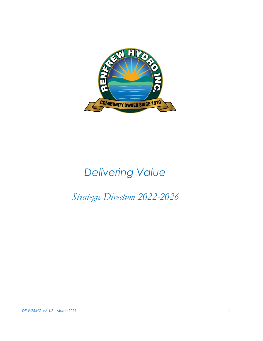

# *Delivering Value*

# *Strategic Direction 2022-2026*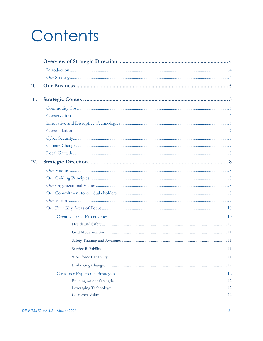# Contents

| Ι.   |  |
|------|--|
|      |  |
|      |  |
| Π.   |  |
| III. |  |
|      |  |
|      |  |
|      |  |
|      |  |
|      |  |
|      |  |
|      |  |
| IV.  |  |
|      |  |
|      |  |
|      |  |
|      |  |
|      |  |
|      |  |
|      |  |
|      |  |
|      |  |
|      |  |
|      |  |
|      |  |
|      |  |
|      |  |
|      |  |
|      |  |
|      |  |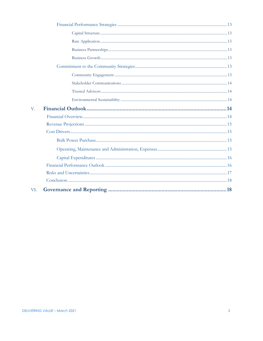| V.  |  |
|-----|--|
|     |  |
|     |  |
|     |  |
|     |  |
|     |  |
|     |  |
|     |  |
|     |  |
|     |  |
| VI. |  |
|     |  |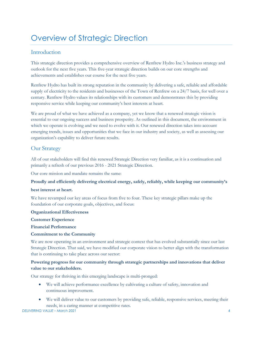# Overview of Strategic Direction

# Introduction

This strategic direction provides a comprehensive overview of Renfrew Hydro Inc.'s business strategy and outlook for the next five years. This five-year strategic direction builds on our core strengths and achievements and establishes our course for the next five years.

Renfrew Hydro has built its strong reputation in the community by delivering a safe, reliable and affordable supply of electricity to the residents and businesses of the Town of Renfrew on a 24/7 basis, for well over a century. Renfrew Hydro values its relationships with its customers and demonstrates this by providing responsive service while keeping our community's best interests at heart.

We are proud of what we have achieved as a company, yet we know that a renewed strategic vision is essential to our ongoing success and business prosperity. As outlined in this document, the environment in which we operate is evolving and we need to evolve with it. Our renewed direction takes into account emerging trends, issues and opportunities that we face in our industry and society, as well as assessing our organization's capability to deliver future results.

# Our Strategy

All of our stakeholders will find this renewed Strategic Direction very familiar, as it is a continuation and primarily a refresh of our previous 2016 - 2021 Strategic Direction.

Our core mission and mandate remains the same:

#### **Proudly and efficiently delivering electrical energy, safely, reliably, while keeping our community's**

#### **best interest at heart.**

We have revamped our key areas of focus from five to four. These key strategic pillars make up the foundation of our corporate goals, objectives, and focus:

#### **Organizational Effectiveness**

**Customer Experience**

**Financial Performance**

#### **Commitment to the Community**

We are now operating in an environment and strategic context that has evolved substantially since our last Strategic Direction. That said, we have modified our corporate vision to better align with the transformation that is continuing to take place across our sector:

### **Powering progress for our community through strategic partnerships and innovations that deliver value to our stakeholders.**

Our strategy for thriving in this emerging landscape is multi-pronged:

- We will achieve performance excellence by cultivating a culture of safety, innovation and continuous improvement.
- We will deliver value to our customers by providing safe, reliable, responsive services, meeting their needs, in a caring manner at competitive rates.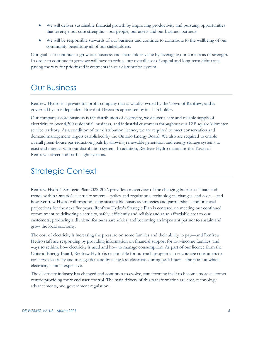- We will deliver sustainable financial growth by improving productivity and pursuing opportunities that leverage our core strengths – our people, our assets and our business partners.
- We will be responsible stewards of our business and continue to contribute to the wellbeing of our community benefitting all of our stakeholders.

Our goal is to continue to grow our business and shareholder value by leveraging our core areas of strength. In order to continue to grow we will have to reduce our overall cost of capital and long-term debt rates, paving the way for prioritized investments in our distribution system.

# Our Business

Renfrew Hydro is a private for-profit company that is wholly owned by the Town of Renfrew, and is governed by an independent Board of Directors appointed by its shareholder.

Our company's core business is the distribution of electricity, we deliver a safe and reliable supply of electricity to over 4,300 residential, business, and industrial customers throughout our 12.8 square kilometer service territory. As a condition of our distribution licence, we are required to meet conservation and demand management targets established by the Ontario Energy Board. We also are required to enable overall green-house gas reduction goals by allowing renewable generation and energy storage systems to exist and interact with our distribution system. In addition, Renfrew Hydro maintains the Town of Renfrew's street and traffic light systems.

# Strategic Context

Renfrew Hydro's Strategic Plan 2022-2026 provides an overview of the changing business climate and trends within Ontario's electricity system—policy and regulations, technological changes, and costs—and how Renfrew Hydro will respond using sustainable business strategies and partnerships, and financial projections for the next five years. Renfrew Hydro's Strategic Plan is centered on meeting our continued commitment to delivering electricity, safely, efficiently and reliably and at an affordable cost to our customers, producing a dividend for our shareholder, and becoming an important partner to sustain and grow the local economy.

The cost of electricity is increasing the pressure on some families and their ability to pay—and Renfrew Hydro staff are responding by providing information on financial support for low-income families, and ways to rethink how electricity is used and how to manage consumption. As part of our licence from the Ontario Energy Board, Renfrew Hydro is responsible for outreach programs to encourage consumers to conserve electricity and manage demand by using less electricity during peak hours—the point at which electricity is most expensive.

The electricity industry has changed and continues to evolve, transforming itself to become more customer centric providing more end user control. The main drivers of this transformation are cost, technology advancements, and government regulation.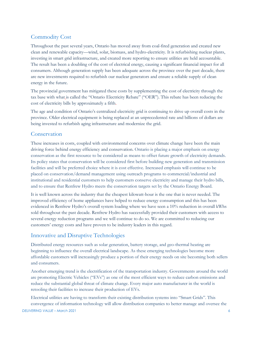# Commodity Cost

Throughout the past several years, Ontario has moved away from coal-fired generation and created new clean and renewable capacity—wind, solar, biomass, and hydro-electricity. It is refurbishing nuclear plants, investing in smart grid infrastructure, and created more reporting to ensure utilities are held accountable. The result has been a doubling of the cost of electrical energy, causing a significant financial impact for all consumers. Although generation supply has been adequate across the province over the past decade, there are new investments required to refurbish our nuclear generators and ensure a reliable supply of clean energy in the future.

The provincial government has mitigated these costs by supplementing the cost of electricity through the tax base with what is called the "Ontario Electricity Rebate" ("OER"). This rebate has been reducing the cost of electricity bills by approximately a fifth.

The age and condition of Ontario's centralized electricity grid is continuing to drive up overall costs in the province. Older electrical equipment is being replaced at an unprecedented rate and billions of dollars are being invested to refurbish aging infrastructure and modernize the grid.

# Conservation

These increases in costs, coupled with environmental concerns over climate change have been the main driving force behind energy efficiency and conservation. Ontario is placing a major emphasis on energy conservation as the first resource to be considered as means to offset future growth of electricity demands. Its policy states that conservation will be considered first before building new generation and transmission facilities and will be preferred choice where it is cost effective. Increased emphasis will continue to be placed on conservation/demand management using outreach programs to commercial/industrial and institutional and residential customers to help customers conserve electricity and manage their hydro bills, and to ensure that Renfrew Hydro meets the conservation targets set by the Ontario Energy Board.

It is well known across the industry that the cheapest kilowatt-hour is the one that is never needed. The improved efficiency of home appliances have helped to reduce energy consumption and this has been evidenced in Renfrew Hydro's overall system loading where we have seen a 10% reduction in overall kWhs sold throughout the past decade. Renfrew Hydro has successfully provided their customers with access to several energy reduction programs and we will continue to do so. We are committed to reducing our customers' energy costs and have proven to be industry leaders in this regard.

# Innovative and Disruptive Technologies

Distributed energy resources such as solar generation, battery storage, and geo-thermal heating are beginning to influence the overall electrical landscape. As these emerging technologies become more affordable customers will increasingly produce a portion of their energy needs on site becoming both sellers and consumers.

Another emerging trend is the electrification of the transportation industry. Governments around the world are promoting Electric Vehicles ("EVs") as one of the most efficient ways to reduce carbon emissions and reduce the substantial global threat of climate change. Every major auto manufacturer in the world is retooling their facilities to increase their production of EVs.

*DELIVERING VALUE – March 2021* 6 Electrical utilities are having to transform their existing distribution systems into "Smart Grids". This convergence of information technology will allow distribution companies to better manage and oversee the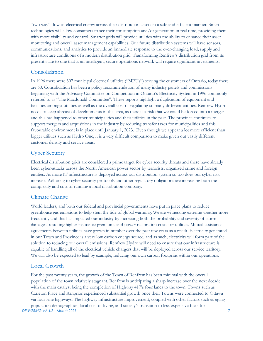"two way" flow of electrical energy across their distribution assets in a safe and efficient manner. Smart technologies will allow consumers to see their consumption and/or generation in real time, providing them with more visibility and control. Smarter grids will provide utilities with the ability to enhance their asset monitoring and overall asset management capabilities. Our future distribution systems will have sensors, communications, and analytics to provide an immediate response to the ever-changing load, supply and infrastructure conditions of a modern distribution grid. Transforming Renfrew's distribution grid from its present state to one that is an intelligent, secure operations network will require significant investments.

### Consolidation

In 1996 there were 307 municipal electrical utilities ("MEUs") serving the customers of Ontario, today there are 60. Consolidation has been a policy recommendation of many industry panels and commissions beginning with the Advisory Committee on Competition in Ontario's Electricity System in 1996 commonly referred to as "The Macdonald Committee". These reports highlight a duplication of equipment and facilities amongst utilities as well as the overall cost of regulating so many different entities. Renfrew Hydro needs to keep abreast of developments in this area, as there is a risk that we could be forced into a merger and this has happened to other municipalities and their utilities in the past. The province continues to support mergers and acquisitions in the industry by reducing transfer taxes for municipalities and this favourable environment is in place until January 1, 2023. Even though we appear a lot more efficient than bigger utilities such as Hydro One, it is a very difficult comparison to make given out vastly different customer density and service areas.

# Cyber Security

Electrical distribution grids are considered a prime target for cyber security threats and there have already been cyber-attacks across the North American power sector by terrorists, organized crime and foreign entities. As more IT infrastructure is deployed across our distribution system so too does our cyber risk increase. Adhering to cyber security protocols and other regulatory obligations are increasing both the complexity and cost of running a local distribution company.

# Climate Change

World leaders, and both our federal and provincial governments have put in place plans to reduce greenhouse gas emissions to help stem the tide of global warming. We are witnessing extreme weather more frequently and this has impacted our industry by increasing both the probability and severity of storm damages, resulting higher insurance premiums and power restoration costs for utilities. Mutual assistance agreements between utilities have grown in number over the past few years as a result. Electricity generated in our Town and Province is a very low carbon energy source, and as such, electricity will form part of the solution to reducing our overall emissions. Renfrew Hydro will need to ensure that our infrastructure is capable of handling all of the electrical vehicle chargers that will be deployed across our service territory. We will also be expected to lead by example, reducing our own carbon footprint within our operations.

# Local Growth

*DELIVERING VALUE – March 2021* 7 For the past twenty years, the growth of the Town of Renfrew has been minimal with the overall population of the town relatively stagnant. Renfrew is anticipating a sharp increase over the next decade with the main catalyst being the completion of Highway 417's four lanes to the town. Towns such as Carleton Place and Arnprior experienced substantial growth once their Towns were connected to Ottawa via four lane highways. The highway infrastructure improvement, coupled with other factors such as aging population demographics, local cost of living, and society's transition to less expensive fuels for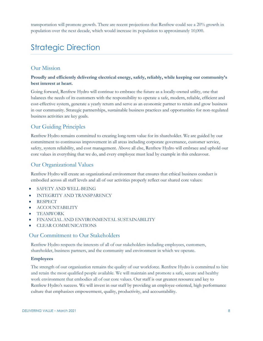transportation will promote growth. There are recent projections that Renfrew could see a 20% growth in population over the next decade, which would increase its population to approximately 10,000.

# Strategic Direction

# Our Mission

#### **Proudly and efficiently delivering electrical energy, safely, reliably, while keeping our community's best interest at heart.**

Going forward, Renfrew Hydro will continue to embrace the future as a locally-owned utility, one that balances the needs of its customers with the responsibility to operate a safe, modern, reliable, efficient and cost-effective system, generate a yearly return and serve as an economic partner to retain and grow business in our community. Strategic partnerships, sustainable business practices and opportunities for non-regulated business activities are key goals.

# Our Guiding Principles

Renfrew Hydro remains committed to creating long-term value for its shareholder. We are guided by our commitment to continuous improvement in all areas including corporate governance, customer service, safety, system reliability, and cost management. Above all else, Renfrew Hydro will embrace and uphold our core values in everything that we do, and every employee must lead by example in this endeavour.

### Our Organizational Values

Renfrew Hydro will create an organizational environment that ensures that ethical business conduct is embodied across all staff levels and all of our activities properly reflect our shared core values:

- SAFETY AND WELL-BEING
- INTEGRITY AND TRANSPARENCY
- RESPECT
- ACCOUNTABILITY
- TEAMWORK
- FINANCIAL AND ENVIRONMENTAL SUSTAINABILITY
- CLEAR COMMUNICATIONS

#### Our Commitment to Our Stakeholders

Renfrew Hydro respects the interests of all of our stakeholders including employees, customers, shareholder, business partners, and the community and environment in which we operate.

#### **Employees**

The strength of our organization remains the quality of our workforce. Renfrew Hydro is committed to hire and retain the most qualified people available. We will maintain and promote a safe, secure and healthy work environment that embodies all of our core values. Our staff is our greatest resource and key to Renfrew Hydro's success. We will invest in our staff by providing an employee-oriented, high performance culture that emphasizes empowerment, quality, productivity, and accountability.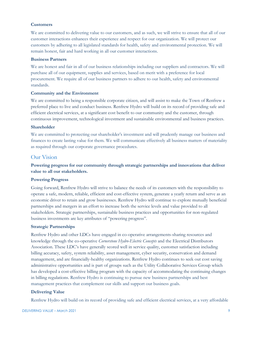#### **Customers**

We are committed to delivering value to our customers, and as such, we will strive to ensure that all of our customer interactions enhances their experience and respect for our organization. We will protect our customers by adhering to all legislated standards for health, safety and environmental protection. We will remain honest, fair and hard working in all our customer interactions.

#### **Business Partners**

We are honest and fair in all of our business relationships including our suppliers and contractors. We will purchase all of our equipment, supplies and services, based on merit with a preference for local procurement. We require all of our business partners to adhere to our health, safety and environmental standards.

#### **Community and the Environment**

We are committed to being a responsible corporate citizen, and will assist to make the Town of Renfrew a preferred place to live and conduct business. Renfrew Hydro will build on its record of providing safe and efficient electrical services, at a significant cost benefit to our community and the customer, through continuous improvement, technological investment and sustainable environmental and business practices.

#### **Shareholder**

We are committed to protecting our shareholder's investment and will prudently manage our business and finances to create lasting value for them. We will communicate effectively all business matters of materiality as required through our corporate governance procedures.

#### Our Vision

**Powering progress for our community through strategic partnerships and innovations that deliver value to all our stakeholders.**

#### **Powering Progress**

Going forward, Renfrew Hydro will strive to balance the needs of its customers with the responsibility to operate a safe, modern, reliable, efficient and cost-effective system, generate a yearly return and serve as an economic driver to retain and grow businesses. Renfrew Hydro will continue to explore mutually beneficial partnerships and mergers in an effort to increase both the service levels and value provided to all stakeholders. Strategic partnerships, sustainable business practices and opportunities for non-regulated business investments are key attributes of "powering progress".

#### **Strategic Partnerships**

Renfrew Hydro and other LDCs have engaged in co-operative arrangements-sharing resources and knowledge through the co-operative *Cornerstone Hydro-Electric Concepts* and the Electrical Distributors Association. These LDC's have generally scored well in service quality, customer satisfaction including billing accuracy, safety, system reliability, asset management, cyber security, conservation and demand management, and are financially-healthy organizations. Renfrew Hydro continues to seek out cost saving administrative opportunities and is part of groups such as the Utility Collaborative Services Group which has developed a cost-effective billing program with the capacity of accommodating the continuing changes in billing regulations. Renfrew Hydro is continuing to pursue new business partnerships and best management practices that complement our skills and support our business goals.

#### **Delivering Value**

Renfrew Hydro will build on its record of providing safe and efficient electrical services, at a very affordable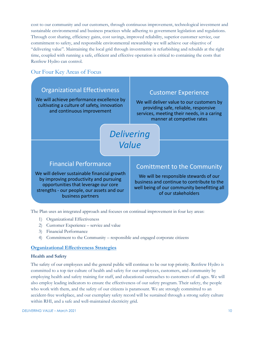cost to our community and our customers, through continuous improvement, technological investment and sustainable environmental and business practices while adhering to government legislation and regulations. Through cost sharing, efficiency gains, cost savings, improved reliability, superior customer service, our commitment to safety, and responsible environmental stewardship we will achieve our objective of "delivering value". Maintaining the local grid through investments in refurbishing and rebuilds at the right time, coupled with running a safe, efficient and effective operation is critical to containing the costs that Renfrew Hydro can control.

# Our Four Key Areas of Focus



The Plan uses an integrated approach and focuses on continual improvement in four key areas:

- 1) Organizational Effectiveness
- 2) Customer Experience service and value
- 3) Financial Performance
- 4) Commitment to the Community responsible and engaged corporate citizens

#### **Organizational Effectiveness Strategies**

#### **Health and Safety**

The safety of our employees and the general public will continue to be our top priority. Renfrew Hydro is committed to a top tier culture of health and safety for our employees, customers, and community by employing health and safety training for staff, and educational outreaches to customers of all ages. We will also employ leading indicators to ensure the effectiveness of our safety program. Their safety, the people who work with them, and the safety of our citizens is paramount. We are strongly committed to an accident-free workplace, and our exemplary safety record will be sustained through a strong safety culture within RHI, and a safe and well-maintained electricity grid.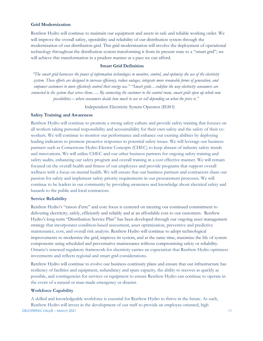#### **Grid Modernization**

Renfrew Hydro will continue to maintain our equipment and assets in safe and reliable working order. We will improve the overall safety, operability and reliability of our distribution system through the modernization of our distribution grid. This grid modernization will involve the deployment of operational technology throughout the distribution system transforming it from its present state to a "smart grid"; we will achieve this transformation in a prudent manner at a pace we can afford.

#### **Smart Grid Definition**

*"The smart grid harnesses the power of information technologies to monitor, control, and optimize the use of the electricity system. These efforts are designed to increase efficiency, reduce outages, integrate more renewable forms of generation, and empower customers to more effectively control their energy use." "Smart grids…redefine the way electricity consumers are connected to the system that serves them….. By connecting the customer to the control room, smart grids open up whole new possibilities – where consumers decide how much to use or sell depending on what the price is."*

Independent Electricity System Operator (IESO)

#### **Safety Training and Awareness**

Renfrew Hydro will continue to promote a strong safety culture and provide safety training that focuses on all workers taking personal responsibility and accountability for their own safety and the safety of their coworkers. We will continue to monitor our performance and enhance our existing abilities by deploying leading indicators to promote proactive responses to potential safety issues. We will leverage our business partners such as Cornerstone Hydro Electric Concepts (CHEC) to keep abreast of industry safety trends and innovations. We will utilize CHEC and our other business partners for ongoing safety training and safety audits, enhancing our safety program and overall training in a cost effective manner. We will remain focused on the overall health and fitness of our employees and provide programs that support overall wellness with a focus on mental health. We will ensure that our business partners and contractors share our passion for safety and implement safety priority requirements in our procurement processes. We will continue to be leaders in our community by providing awareness and knowledge about electrical safety and hazards to the public and local contractors.

#### **Service Reliability**

Renfrew Hydro's "raison d'etre" and core focus is centered on meeting our continued commitment to delivering electricity, safely, efficiently and reliably and at an affordable cost to our customers. Renfrew Hydro's long-term "Distribution Service Plan" has been developed through our ongoing asset management strategy that incorporates condition-based assessment, asset optimization, preventive and predictive maintenance, cost, and overall risk analysis. Renfrew Hydro will continue to adopt technological improvements to modernize the grid, improve its system, and at the same time, maximize the life of system components using scheduled and preventative maintenance without compromising safety or reliability. Ontario's renewed regulatory framework for electricity carries an expectation that Renfrew Hydro optimizes investments and reflects regional and smart grid considerations.

Renfrew Hydro will continue to evolve our business continuity plans and ensure that our infrastructure has resiliency of facilities and equipment, redundancy and spare capacity, the ability to recover as quickly as possible, and contingencies for services or equipment to ensure Renfrew Hydro can continue to operate in the event of a natural or man-made emergency or disaster.

#### **Workforce Capability**

*DELIVERING VALUE – March 2021* 11 A skilled and knowledgeable workforce is essential for Renfrew Hydro to thrive in the future. As such, Renfrew Hydro will invest in the development of our staff to provide an employee-oriented, high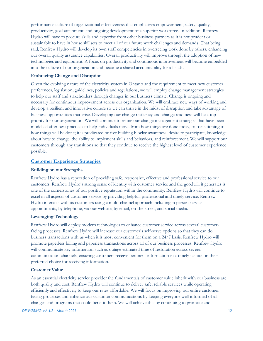performance culture of organizational effectiveness that emphasizes empowerment, safety, quality, productivity, goal attainment, and ongoing development of a superior workforce. In addition, Renfrew Hydro will have to procure skills and expertise from other business partners as it is not prudent or sustainable to have in house skillsets to meet all of our future work challenges and demands. That being said, Renfrew Hydro will develop its own staff competencies in overseeing work done by others, enhancing our overall quality assurance capabilities. Overall productivity will improve through the adoption of new technologies and equipment. A focus on productivity and continuous improvement will become embedded into the culture of our organization and become a shared accountability for all staff.

#### **Embracing Change and Disruption**

Given the evolving nature of the electricity system in Ontario and the requirement to meet new customer preferences, legislation, guidelines, policies and regulations, we will employ change management strategies to help our staff and stakeholders through changes in our business climate. Change is ongoing and necessary for continuous improvement across our organization. We will embrace new ways of working and develop a resilient and innovative culture so we can thrive in the midst of disruption and take advantage of business opportunities that arise. Developing our change resiliency and change readiness will be a top priority for our organization. We will continue to refine our change management strategies that have been modelled after best practices to help individuals move from how things are done today, to transitioning to how things will be done; it is predicated onfive building blocks: awareness, desire to participate, knowledge about how to change, the ability to implement skills and behaviors, and reinforcement. We will support our customers through any transitions so that they continue to receive the highest level of customer experience possible.

#### **Customer Experience Strategies**

#### **Building on our Strengths**

Renfrew Hydro has a reputation of providing safe, responsive, effective and professional service to our customers. Renfrew Hydro's strong sense of identity with customer service and the goodwill it generates is one of the cornerstones of our positive reputation within the community. Renfrew Hydro will continue to excel in all aspects of customer service by providing helpful, professional and timely service. Renfrew Hydro interacts with its customers using a multi-channel approach including in person service appointments, by telephone, via our website, by email, on-the-street, and social media.

#### **Leveraging Technology**

Renfrew Hydro will deploy modern technologies to enhance customer service across several customerfacing processes. Renfrew Hydro will increase our customer's self-serve options so that they can do business transactions with us when it is most convenient for them on a 24/7 basis. Renfrew Hydro will promote paperless billing and paperless transactions across all of our business processes. Renfrew Hydro will communicate key information such as outage estimated time of restoration across several communication channels, ensuring customers receive pertinent information in a timely fashion in their preferred choice for receiving information.

#### **Customer Value**

As an essential electricity service provider the fundamentals of customer value inherit with our business are both quality and cost. Renfrew Hydro will continue to deliver safe, reliable services while operating efficiently and effectively to keep our rates affordable. We will focus on improving our entire customer facing processes and enhance our customer communications by keeping everyone well informed of all changes and programs that could benefit them. We will achieve this by continuing to promote and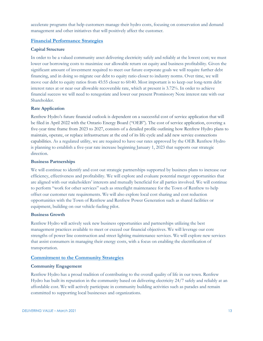accelerate programs that help customers manage their hydro costs, focusing on conservation and demand management and other initiatives that will positively affect the customer.

#### **Financial Performance Strategies**

#### **Capital Structure**

In order to be a valued community asset delivering electricity safely and reliably at the lowest cost; we must lower our borrowing costs to maximize our allowable return on equity and business profitability. Given the significant amount of investment required to meet our future corporate goals we will require further debt financing, and in doing so migrate our debt to equity ratio closer to industry norms. Over time, we will move our debt to equity ratios from 45:55 closer to 60:40. Most important is to keep our long-term debt interest rates at or near our allowable recoverable rate, which at present is 3.72%. In order to achieve financial success we will need to renegotiate and lower our present Promissory Note interest rate with our Shareholder.

#### **Rate Application**

Renfrew Hydro's future financial outlook is dependent on a successful cost of service application that will be filed in April 2022 with the Ontario Energy Board ("OEB"). The cost of service application, covering a five-year time frame from 2023 to 2027, consists of a detailed profile outlining how Renfrew Hydro plans to maintain, operate, or replace infrastructure at the end of its life cycle and add new service connections capabilities. As a regulated utility, we are required to have our rates approved by the OEB. Renfrew Hydro is planning to establish a five-year rate increase beginning January 1, 2023 that supports our strategic direction.

#### **Business Partnerships**

We will continue to identify and cost out strategic partnerships supported by business plans to increase our efficiency, effectiveness and profitability. We will explore and evaluate potential merger opportunities that are aligned with our stakeholders' interests and mutually beneficial for all parties involved. We will continue to perform "work for other services" such as streetlight maintenance for the Town of Renfrew to help offset our customer rate requirements. We will also explore local cost sharing and cost reduction opportunities with the Town of Renfrew and Renfrew Power Generation such as shared facilities or equipment, building on our vehicle-fueling pilot.

#### **Business Growth**

Renfrew Hydro will actively seek new business opportunities and partnerships utilizing the best management practices available to meet or exceed our financial objectives. We will leverage our core strengths of power line construction and street lighting maintenance services. We will explore new services that assist consumers in managing their energy costs, with a focus on enabling the electrification of transportation.

#### **Commitment to the Community Strategies**

#### **Community Engagement**

Renfrew Hydro has a proud tradition of contributing to the overall quality of life in our town. Renfrew Hydro has built its reputation in the community based on delivering electricity 24/7 safely and reliably at an affordable cost. We will actively participate in community building activities such as parades and remain committed to supporting local businesses and organizations.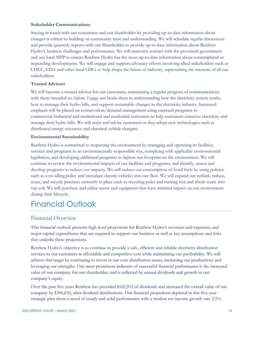#### **Stakeholder Communications**

Staying in touch with our consumers and our shareholder by providing up-to-date information about changes is critical to building on community trust and understanding. We will schedule regular discussions and provide quarterly reports with our Shareholder to provide up-to-date information about Renfrew Hydro's business challenges and performance. We will maintain contact with the provincial government and our local MPP to ensure Renfrew Hydro has the most up-to-date information about contemplated or impending developments. We will engage and support advocacy efforts involving allied stakeholders such as CHEC, EDA and other local LDCs to help shape the future of industry, representing the interests of all our stakeholders.

#### **Trusted Advisors**

We will become a trusted advisor for our customers, maintaining a regular program of communications with them intended to: *Inform, Engage and Involve* them in understanding how the electricity system works, how to manage their hydro bills, and support sustainable changes to the electricity industry. Increased emphasis will be placed on conservation/demand management using outreach programs to commercial/industrial and institutional and residential customers to help customers conserve electricity and manage their hydro bills. We will assist and advise customers as they adopt new technologies such as distributed energy resources and electrical vehicle chargers.

#### **Environmental Sustainability**

Renfrew Hydro is committed to respecting the environment by managing and operating its facilities, services and programs in an environmentally-responsible way, complying with applicable environmental legislation, and developing additional programs to lighten our footprint on the environment. We will continue to review the environmental impacts of our facilities and programs, and identify, assess and develop programs to reduce our impacts. We will reduce our consumption of fossil fuels by using policies such as a no-idling policy and introduce electric vehicles into our fleet. We will expand our rethink, reduce, reuse, and recycle practices currently in place such as recycling poles and turning tree and shrub waste into top soil. We will purchase and utilize assets and equipment that have minimal impact on our environment during their lifecycle.

# Financial Outlook

#### Financial Overview

This financial outlook presents high-level projections for Renfrew Hydro's revenues and expenses, and major capital expenditures that are required to support our business as well as key assumptions and risks that underlie these projections.

Renfrew Hydro's objective is to continue to provide a safe, efficient and reliable electricity distribution services to our customers at affordable and competitive cost while maintaining our profitability. We will achieve this target by continuing to invest in our core distribution assets, increasing our productivity and leveraging our strengths. Our most prominent indicator of successful financial performance is the increased value of our company for our shareholder, and is reflected by annual dividends and growth in our company's equity.

Over the past five years Renfrew has provided \$162,912 of dividends and increased the overall value of our company by \$396,632, after dividend distributions. Our financial projections depicted in this five-year strategic plan show a trend of steady and solid performance with a modest net income growth rate 2.5%.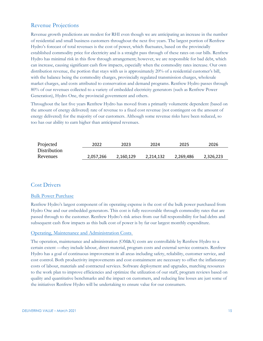# Revenue Projections

Revenue growth predictions are modest for RHI even though we are anticipating an increase in the number of residential and small business customers throughout the next five years. The largest portion of Renfrew Hydro's forecast of total revenues is the cost of power, which fluctuates, based on the provincially established commodity price for electricity and is a straight pass through of these rates on our bills. Renfrew Hydro has minimal risk in this flow through arrangement; however, we are responsible for bad debt, which can increase, causing significant cash flow impacts, especially when the commodity rates increase. Our own distribution revenue, the portion that stays with us is approximately 20% of a residential customer's bill, with the balance being the commodity charges, provincially regulated transmission charges, wholesale market charges, and costs attributed to conservation and demand programs. Renfrew Hydro passes through 80% of our revenues collected to a variety of embedded electricity generators (such as Renfrew Power Generation), Hydro One, the provincial government and others.

Throughout the last five years Renfrew Hydro has moved from a primarily volumetric dependent (based on the amount of energy delivered) rate of revenue to a fixed cost revenue (not contingent on the amount of energy delivered) for the majority of our customers. Although some revenue risks have been reduced, so too has our ability to earn higher than anticipated revenues.

| Projected    | 2022      | 2023      | 2024      | 2025      | 2026      |
|--------------|-----------|-----------|-----------|-----------|-----------|
| Distribution |           |           |           |           |           |
| Revenues     | 2,057,266 | 2.160.129 | 2.214.132 | 2,269,486 | 2,326,223 |

### Cost Drivers

#### Bulk Power Purchase

Renfrew Hydro's largest component of its operating expense is the cost of the bulk power purchased from Hydro One and our embedded generators. This cost is fully recoverable through commodity rates that are passed through to the customer. Renfrew Hydro's risk arises from our full responsibility for bad debts and subsequent cash flow impacts as this bulk cost of power is by far our largest monthly expenditure.

#### Operating, Maintenance and Administration Costs

The operation, maintenance and administration (OM&A) costs are controllable by Renfrew Hydro to a certain extent —they include labour, direct material, program costs and external service contracts. Renfrew Hydro has a goal of continuous improvement in all areas including safety, reliability, customer service, and cost control. Both productivity improvements and cost containment are necessary to offset the inflationary costs of labour, materials and contracted services. Software deployment and upgrades, matching resources to the work plan to improve efficiencies and optimize the utilization of our staff, program reviews based on quality and quantitative benchmarks and the impact on customers, and reducing line losses are just some of the initiatives Renfrew Hydro will be undertaking to ensure value for our consumers.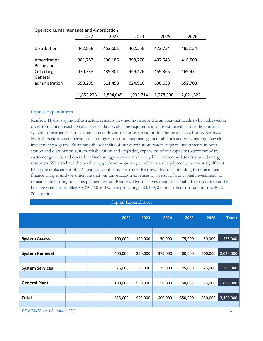|                                    | 2022      | 2023      | 2024      | 2025      | 2026      |
|------------------------------------|-----------|-----------|-----------|-----------|-----------|
| <b>Distribution</b>                | 442,858   | 452,601   | 462,558   | 472,734   | 483,134   |
| Amortization<br><b>Billing and</b> | 381,787   | 390,186   | 398,770   | 407,543   | 416,509   |
| Collecting<br>General              | 430,333   | 439,801   | 449,476   | 459,365   | 469,471   |
| administration                     | 598,295   | 611,458   | 624,910   | 638,658   | 652,708   |
|                                    | 1,853,273 | 1,894,045 | 1,935,714 | 1,978,300 | 2,021,822 |

#### Operations, Maintenance and Amortization

#### Capital Expenditures

Renfrew Hydro's aging infrastructure remains an ongoing issue and is an area that needs to be addressed in order to maintain existing service reliability levels. The requirement to invest heavily in our distribution system infrastructure is a substantial cost driver for our organization for the foreseeable future. Renfrew Hydro's performance metrics are contingent on our asset management abilities and our ongoing lifecycle investment programs. Sustaining the reliability of our distribution system requires investments in both station and distribution system rehabilitation and upgrades, expansion of our capacity to accommodate customer growth, and operational technology to modernize our grid to accommodate distributed energy resources. We also have the need to upgrade some over aged vehicles and equipment, the most significant being the replacement of a 21 year old double bucket truck. Renfrew Hydro is intending to reduce their finance charges and we anticipate that our amortization expenses as a result of our capital investments to remain stable throughout this planned period. Renfrew Hydro's investment in capital infrastructure over the last five years has totalled \$3,230,460 and we are projecting a \$3,400,000 investment throughout the 2022- 2026 period.

#### Capital Expenditures

|                        |  | 2022    | 2023    | 2024    | 2025    | 2026    | <b>Totals</b> |
|------------------------|--|---------|---------|---------|---------|---------|---------------|
|                        |  |         |         |         |         |         |               |
| <b>System Access</b>   |  | 100,000 | 100,000 | 50,000  | 75,000  | 50,000  | 375,000       |
|                        |  |         |         |         |         |         |               |
| <b>System Renewal</b>  |  | 400,000 | 350,000 | 375,000 | 400,000 | 500,000 | 2,025,000     |
|                        |  |         |         |         |         |         |               |
| <b>System Services</b> |  | 25,000  | 25,000  | 25,000  | 25,000  | 25,000  | 125,000       |
|                        |  |         |         |         |         |         |               |
| <b>General Plant</b>   |  | 100,000 | 500,000 | 150,000 | 50,000  | 75,000  | 875,000       |
|                        |  |         |         |         |         |         |               |
| <b>Total</b>           |  | 625,000 | 975,000 | 600,000 | 550,000 | 650,000 | 3,400,000     |
|                        |  |         |         |         |         |         |               |

*DELIVERING VALUE – March 2021* 16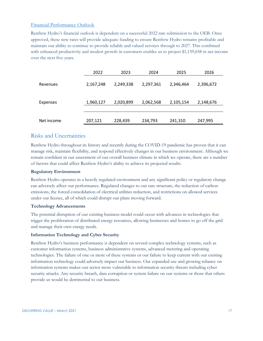#### Financial Performance Outlook

Renfrew Hydro's financial outlook is dependent on a successful 2022 rate submission to the OEB. Once approved, these new rates will provide adequate funding to ensure Renfrew Hydro remains profitable and maintain our ability to continue to provide reliable and valued services through to 2027. This combined with enhanced productivity and modest growth in customers enables us to project \$1,159,658 in net income over the next five years.

|                 | 2022      | 2023      | 2024      | 2025      | 2026      |
|-----------------|-----------|-----------|-----------|-----------|-----------|
| Revenues        | 2,167,248 | 2,249,338 | 2,297,361 | 2,346,464 | 2,396,672 |
| <b>Expenses</b> | 1,960,127 | 2,020,899 | 2,062,568 | 2,105,154 | 2,148,676 |
| Net income      | 207,121   | 228,439   | 234,793   | 241,310   | 247,995   |

### Risks and Uncertainties

Renfrew Hydro throughout its history and recently during the COVID-19 pandemic has proven that it can manage risk, maintain flexibility, and respond effectively changes in our business environment. Although we remain confident in our assessment of our overall business climate in which we operate, there are a number of factors that could affect Renfrew Hydro's ability to achieve its projected results.

#### **Regulatory Environment**

Renfrew Hydro operates in a heavily regulated environment and any significant policy or regulatory change can adversely affect our performance. Regulated changes to our rate structure, the reduction of carbon emissions, the forced consolidation of electrical utilities reduction, and restrictions on allowed services under our licence, all of which could disrupt our plans moving forward.

#### **Technology Advancements**

The potential disruption of our existing business model could occur with advances in technologies that trigger the proliferation of distributed energy resources, allowing businesses and homes to go off the grid and manage their own energy needs.

#### **Information Technology and Cyber Security**

Renfrew Hydro's business performance is dependent on several complex technology systems, such as customer information systems, business administrative systems, advanced metering and operating technologies. The failure of one or more of these systems or our failure to keep current with our existing information technology could adversely impact our business. Our expanded use and growing reliance on information systems makes our sector more vulnerable to information security threats including cyber security attacks. Any security breach, data corruption or system failure on our systems or those that others provide us would be detrimental to our business.